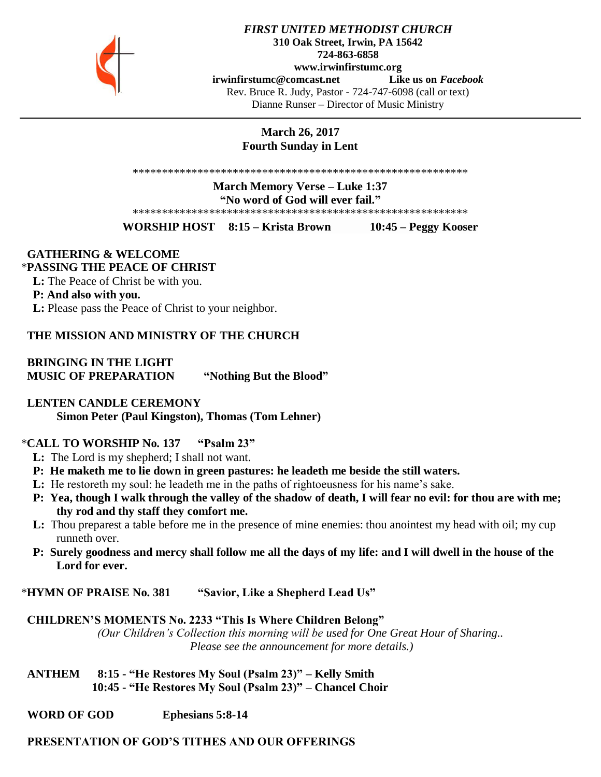

#### *FIRST UNITED METHODIST CHURCH* **310 Oak Street, Irwin, PA 15642 724-863-6858 www.irwinfirstumc.org [irwinfirstumc@comcast.net](mailto:irwinfirstumc@comcast.net) Like us on** *Facebook* Rev. Bruce R. Judy, Pastor - 724-747-6098 (call or text) Dianne Runser – Director of Music Ministry

## **March 26, 2017 Fourth Sunday in Lent**

\*\*\*\*\*\*\*\*\*\*\*\*\*\*\*\*\*\*\*\*\*\*\*\*\*\*\*\*\*\*\*\*\*\*\*\*\*\*\*\*\*\*\*\*\*\*\*\*\*\*\*\*\*\*\*\*\*

**March Memory Verse – Luke 1:37 "No word of God will ever fail."**

\*\*\*\*\*\*\*\*\*\*\*\*\*\*\*\*\*\*\*\*\*\*\*\*\*\*\*\*\*\*\*\*\*\*\*\*\*\*\*\*\*\*\*\*\*\*\*\*\*\*\*\*\*\*\*\*\*

**WORSHIP HOST 8:15 – Krista Brown 10:45 – Peggy Kooser**

# **GATHERING & WELCOME**

# \***PASSING THE PEACE OF CHRIST**

 **L:** The Peace of Christ be with you.

#### **P: And also with you.**

 **L:** Please pass the Peace of Christ to your neighbor.

### **THE MISSION AND MINISTRY OF THE CHURCH**

 **BRINGING IN THE LIGHT MUSIC OF PREPARATION "Nothing But the Blood"**

#### **LENTEN CANDLE CEREMONY**

**Simon Peter (Paul Kingston), Thomas (Tom Lehner)**

#### \***CALL TO WORSHIP No. 137 "Psalm 23"**

- **L:** The Lord is my shepherd; I shall not want.
- **P: He maketh me to lie down in green pastures: he leadeth me beside the still waters.**
- **L:** He restoreth my soul: he leadeth me in the paths of rightoeusness for his name's sake.
- **P: Yea, though I walk through the valley of the shadow of death, I will fear no evil: for thou are with me; thy rod and thy staff they comfort me.**
- **L:** Thou preparest a table before me in the presence of mine enemies: thou anointest my head with oil; my cup runneth over.
- **P: Surely goodness and mercy shall follow me all the days of my life: and I will dwell in the house of the Lord for ever.**

\***HYMN OF PRAISE No. 381 "Savior, Like a Shepherd Lead Us"**

#### **CHILDREN'S MOMENTS No. 2233 "This Is Where Children Belong"**

*(Our Children's Collection this morning will be used for One Great Hour of Sharing.. Please see the announcement for more details.)*

 **ANTHEM 8:15 - "He Restores My Soul (Psalm 23)" – Kelly Smith 10:45 - "He Restores My Soul (Psalm 23)" – Chancel Choir**

 **WORD OF GOD Ephesians 5:8-14**

## **PRESENTATION OF GOD'S TITHES AND OUR OFFERINGS**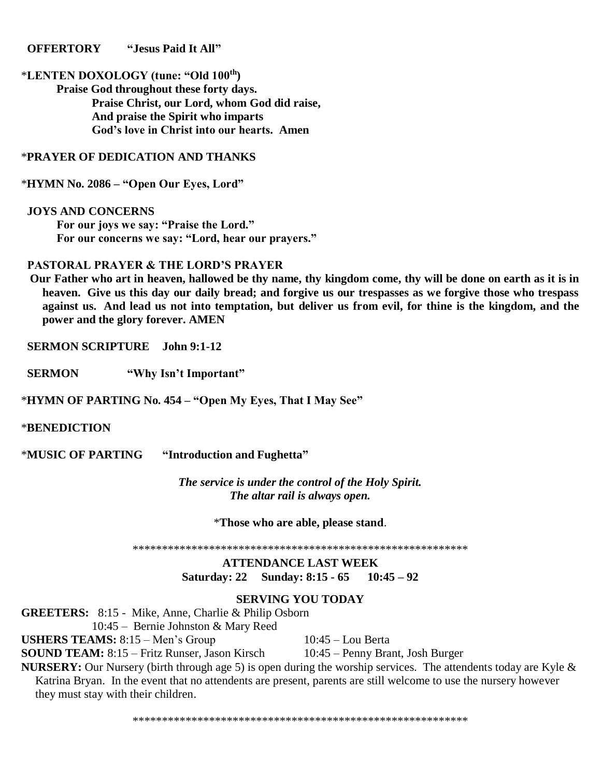#### **OFFERTORY "Jesus Paid It All"**

# \***LENTEN DOXOLOGY (tune: "Old 100th)**

**Praise God throughout these forty days. Praise Christ, our Lord, whom God did raise, And praise the Spirit who imparts God's love in Christ into our hearts. Amen**

#### \***PRAYER OF DEDICATION AND THANKS**

\***HYMN No. 2086 – "Open Our Eyes, Lord"**

 **JOYS AND CONCERNS For our joys we say: "Praise the Lord." For our concerns we say: "Lord, hear our prayers."**

#### **PASTORAL PRAYER & THE LORD'S PRAYER**

 **Our Father who art in heaven, hallowed be thy name, thy kingdom come, thy will be done on earth as it is in heaven. Give us this day our daily bread; and forgive us our trespasses as we forgive those who trespass against us. And lead us not into temptation, but deliver us from evil, for thine is the kingdom, and the power and the glory forever. AMEN**

 **SERMON SCRIPTURE John 9:1-12**

 **SERMON "Why Isn't Important"**

\***HYMN OF PARTING No. 454 – "Open My Eyes, That I May See"**

#### \***BENEDICTION**

\***MUSIC OF PARTING "Introduction and Fughetta"**

*The service is under the control of the Holy Spirit. The altar rail is always open.*

\***Those who are able, please stand**.

\*\*\*\*\*\*\*\*\*\*\*\*\*\*\*\*\*\*\*\*\*\*\*\*\*\*\*\*\*\*\*\*\*\*\*\*\*\*\*\*\*\*\*\*\*\*\*\*\*\*\*\*\*\*\*\*\*

**ATTENDANCE LAST WEEK Saturday: 22 Sunday: 8:15 - 65 10:45 – 92**

### **SERVING YOU TODAY**

**GREETERS:** 8:15 - Mike, Anne, Charlie & Philip Osborn 10:45 – Bernie Johnston & Mary Reed

**USHERS TEAMS:** 8:15 – Men's Group 10:45 – Lou Berta

**SOUND TEAM:** 8:15 – Fritz Runser, Jason Kirsch 10:45 – Penny Brant, Josh Burger

**NURSERY:** Our Nursery (birth through age 5) is open during the worship services. The attendents today are Kyle & Katrina Bryan. In the event that no attendents are present, parents are still welcome to use the nursery however they must stay with their children.

\*\*\*\*\*\*\*\*\*\*\*\*\*\*\*\*\*\*\*\*\*\*\*\*\*\*\*\*\*\*\*\*\*\*\*\*\*\*\*\*\*\*\*\*\*\*\*\*\*\*\*\*\*\*\*\*\*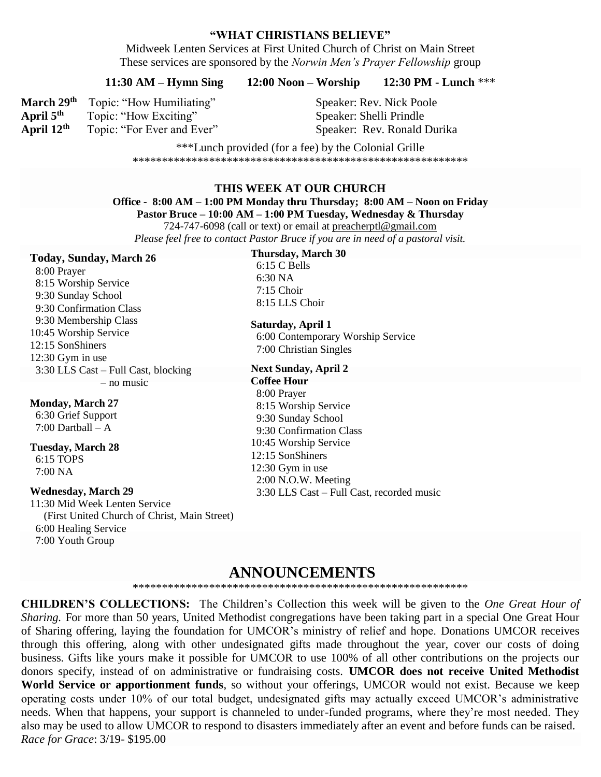#### "WHAT CHRISTIANS BELIEVE"

Midweek Lenten Services at First United Church of Christ on Main Street These services are sponsored by the *Norwin Men's Prayer Fellowship* group

#### 12:30 PM - Lunch \*\*\*  $12:00$  Noon – Worship  $11:30 AM-Hymn$  Sing

March 29th Topic: "How Humiliating" April  $5<sup>th</sup>$ Topic: "How Exciting" April 12th Topic: "For Ever and Ever" **Speaker: Rev. Nick Poole** Speaker: Shelli Prindle Speaker: Rev. Ronald Durika

\*\*\*Lunch provided (for a fee) by the Colonial Grille 

#### THIS WEEK AT OUR CHURCH

Office - 8:00 AM – 1:00 PM Monday thru Thursday; 8:00 AM – Noon on Friday

Pastor Bruce – 10:00 AM – 1:00 PM Tuesday, Wednesday & Thursday

724-747-6098 (call or text) or email at preacherptl@gmail.com Please feel free to contact Pastor Bruce if you are in need of a pastoral visit.

#### **Today, Sunday, March 26**

8:00 Prayer 8:15 Worship Service 9:30 Sunday School 9:30 Confirmation Class 9:30 Membership Class 10:45 Worship Service 12:15 SonShiners  $12:30$  Gym in use 3:30 LLS Cast – Full Cast, blocking  $-$  no music

**Monday, March 27** 6:30 Grief Support 7:00 Dartball  $- A$ 

**Tuesday, March 28** 6:15 TOPS  $7:00\ NA$ 

#### **Wednesday, March 29**

11:30 Mid Week Lenten Service (First United Church of Christ, Main Street) 6:00 Healing Service 7:00 Youth Group

#### **Thursday, March 30**

6:15 C Bells  $6:30\,NA$  $7:15$  Choir 8:15 LLS Choir

#### Saturday, April 1

6:00 Contemporary Worship Service 7:00 Christian Singles

**Next Sunday, April 2 Coffee Hour** 8:00 Prayer 8:15 Worship Service 9:30 Sunday School 9:30 Confirmation Class 10:45 Worship Service 12:15 SonShiners 12:30 Gym in use 2:00 N.O.W. Meeting 3:30 LLS Cast – Full Cast, recorded music

# **ANNOUNCEMENTS**

**CHILDREN'S COLLECTIONS:** The Children's Collection this week will be given to the *One Great Hour of* Sharing. For more than 50 years, United Methodist congregations have been taking part in a special One Great Hour of Sharing offering, laying the foundation for UMCOR's ministry of relief and hope. Donations UMCOR receives through this offering, along with other undesignated gifts made throughout the year, cover our costs of doing business. Gifts like yours make it possible for UMCOR to use 100% of all other contributions on the projects our donors specify, instead of on administrative or fundraising costs. UMCOR does not receive United Methodist World Service or apportionment funds, so without your offerings, UMCOR would not exist. Because we keep operating costs under 10% of our total budget, undesignated gifts may actually exceed UMCOR's administrative needs. When that happens, your support is channeled to under-funded programs, where they're most needed. They also may be used to allow UMCOR to respond to disasters immediately after an event and before funds can be raised. Race for Grace: 3/19-\$195.00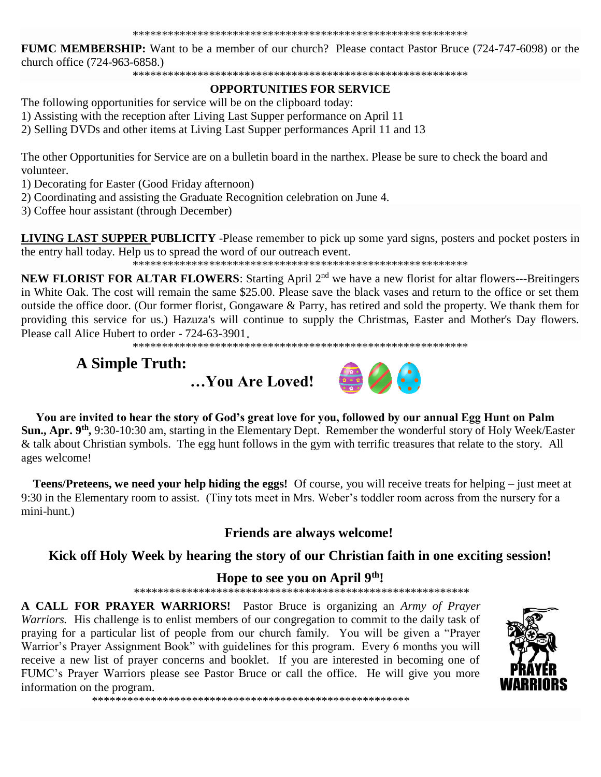FUMC MEMBERSHIP: Want to be a member of our church? Please contact Pastor Bruce (724-747-6098) or the church office (724-963-6858.)

#### **OPPORTUNITIES FOR SERVICE**

The following opportunities for service will be on the clipboard today:

1) Assisting with the reception after Living Last Supper performance on April 11

2) Selling DVDs and other items at Living Last Supper performances April 11 and 13

The other Opportunities for Service are on a bulletin board in the narthex. Please be sure to check the board and volunteer.

1) Decorating for Easter (Good Friday afternoon)

2) Coordinating and assisting the Graduate Recognition celebration on June 4.

3) Coffee hour assistant (through December)

**LIVING LAST SUPPER PUBLICITY** -Please remember to pick up some yard signs, posters and pocket posters in the entry hall today. Help us to spread the word of our outreach event.

**NEW FLORIST FOR ALTAR FLOWERS:** Starting April 2<sup>nd</sup> we have a new florist for altar flowers---Breitingers in White Oak. The cost will remain the same \$25.00. Please save the black vases and return to the office or set them outside the office door. (Our former florist, Gongaware & Parry, has retired and sold the property. We thank them for providing this service for us.) Hazuza's will continue to supply the Christmas, Easter and Mother's Day flowers. Please call Alice Hubert to order - 724-63-3901.

# **A Simple Truth:**





You are invited to hear the story of God's great love for you, followed by our annual Egg Hunt on Palm Sun., Apr. 9<sup>th</sup>, 9:30-10:30 am, starting in the Elementary Dept. Remember the wonderful story of Holy Week/Easter & talk about Christian symbols. The egg hunt follows in the gym with terrific treasures that relate to the story. All ages welcome!

Teens/Preteens, we need your help hiding the eggs! Of course, you will receive treats for helping – just meet at 9:30 in the Elementary room to assist. (Tiny tots meet in Mrs. Weber's toddler room across from the nursery for a mini-hunt.)

**Friends are always welcome!** 

## Kick off Holy Week by hearing the story of our Christian faith in one exciting session!

## Hope to see you on April 9th!

A CALL FOR PRAYER WARRIORS! Pastor Bruce is organizing an Army of Prayer Warriors. His challenge is to enlist members of our congregation to commit to the daily task of praying for a particular list of people from our church family. You will be given a "Prayer" Warrior's Prayer Assignment Book" with guidelines for this program. Every 6 months you will receive a new list of prayer concerns and booklet. If you are interested in becoming one of FUMC's Prayer Warriors please see Pastor Bruce or call the office. He will give you more information on the program.